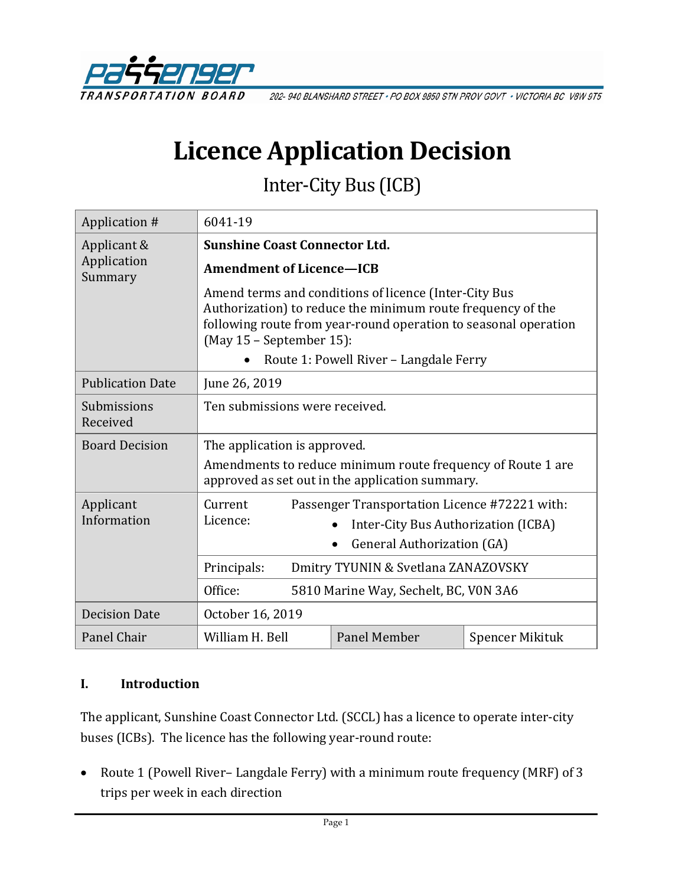

202-940 BLANSHARD STREET · PO BOX 9850 STN PROV GOVT · VICTORIA BC V8W 9T5

# **Licence Application Decision**

Inter-City Bus (ICB)

| Application #                         | 6041-19                                                                                                                                                       |                                                                                                                                                                                                                                   |                 |
|---------------------------------------|---------------------------------------------------------------------------------------------------------------------------------------------------------------|-----------------------------------------------------------------------------------------------------------------------------------------------------------------------------------------------------------------------------------|-----------------|
| Applicant &<br>Application<br>Summary | <b>Sunshine Coast Connector Ltd.</b>                                                                                                                          |                                                                                                                                                                                                                                   |                 |
|                                       | <b>Amendment of Licence-ICB</b>                                                                                                                               |                                                                                                                                                                                                                                   |                 |
|                                       | $(May 15 - September 15)$ :                                                                                                                                   | Amend terms and conditions of licence (Inter-City Bus<br>Authorization) to reduce the minimum route frequency of the<br>following route from year-round operation to seasonal operation<br>Route 1: Powell River - Langdale Ferry |                 |
|                                       |                                                                                                                                                               |                                                                                                                                                                                                                                   |                 |
| <b>Publication Date</b>               | June 26, 2019                                                                                                                                                 |                                                                                                                                                                                                                                   |                 |
| Submissions<br>Received               | Ten submissions were received.                                                                                                                                |                                                                                                                                                                                                                                   |                 |
| <b>Board Decision</b>                 | The application is approved.<br>Amendments to reduce minimum route frequency of Route 1 are<br>approved as set out in the application summary.                |                                                                                                                                                                                                                                   |                 |
| Applicant<br>Information              | Current<br>Passenger Transportation Licence #72221 with:<br>Licence:<br>Inter-City Bus Authorization (ICBA)<br><b>General Authorization (GA)</b><br>$\bullet$ |                                                                                                                                                                                                                                   |                 |
|                                       | Principals:<br>Dmitry TYUNIN & Svetlana ZANAZOVSKY                                                                                                            |                                                                                                                                                                                                                                   |                 |
|                                       | Office:<br>5810 Marine Way, Sechelt, BC, V0N 3A6                                                                                                              |                                                                                                                                                                                                                                   |                 |
| <b>Decision Date</b>                  | October 16, 2019                                                                                                                                              |                                                                                                                                                                                                                                   |                 |
| Panel Chair                           | William H. Bell                                                                                                                                               | Panel Member                                                                                                                                                                                                                      | Spencer Mikituk |

#### **I. Introduction**

The applicant, Sunshine Coast Connector Ltd. (SCCL) has a licence to operate inter-city buses (ICBs). The licence has the following year-round route:

• Route 1 (Powell River– Langdale Ferry) with a minimum route frequency (MRF) of 3 trips per week in each direction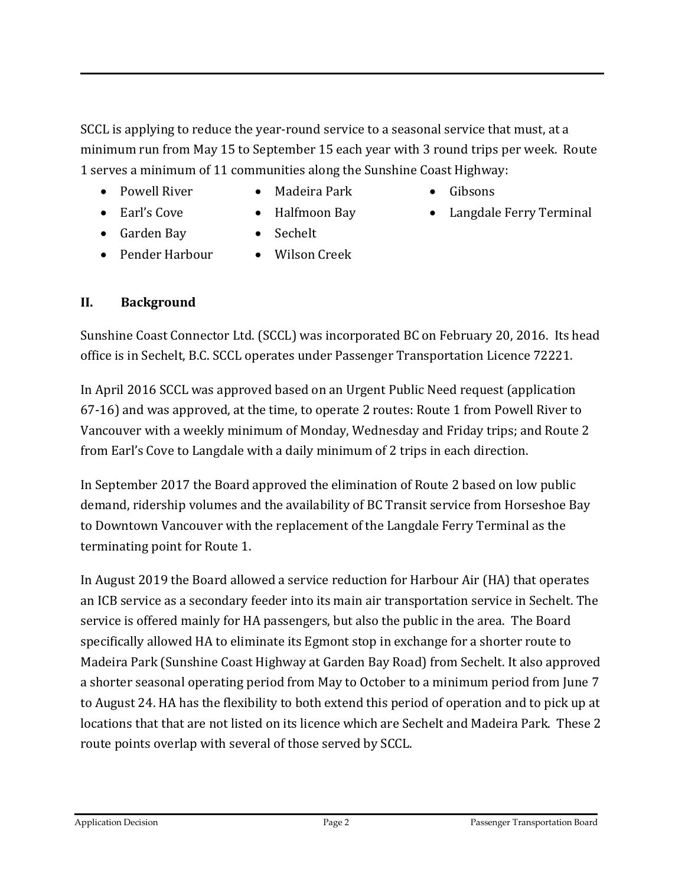SCCL is applying to reduce the year-round service to a seasonal service that must, at a minimum run from May 15 to September 15 each year with 3 round trips per week. Route 1 serves a minimum of 11 communities along the Sunshine Coast Highway:

- Powell River
- Madeira Park
- Gibsons

• Langdale Ferry Terminal

• Earl's Cove

• Garden Bay

- Halfmoon Bay • Sechelt
- 
- Pender Harbour
- Wilson Creek

## **II. Background**

Sunshine Coast Connector Ltd. (SCCL) was incorporated BC on February 20, 2016. Its head office is in Sechelt, B.C. SCCL operates under Passenger Transportation Licence 72221.

In April 2016 SCCL was approved based on an Urgent Public Need request (application 67-16) and was approved, at the time, to operate 2 routes: Route 1 from Powell River to Vancouver with a weekly minimum of Monday, Wednesday and Friday trips; and Route 2 from Earl's Cove to Langdale with a daily minimum of 2 trips in each direction.

In September 2017 the Board approved the elimination of Route 2 based on low public demand, ridership volumes and the availability of BC Transit service from Horseshoe Bay to Downtown Vancouver with the replacement of the Langdale Ferry Terminal as the terminating point for Route 1.

In August 2019 the Board allowed a service reduction for Harbour Air (HA) that operates an ICB service as a secondary feeder into its main air transportation service in Sechelt. The service is offered mainly for HA passengers, but also the public in the area. The Board specifically allowed HA to eliminate its Egmont stop in exchange for a shorter route to Madeira Park (Sunshine Coast Highway at Garden Bay Road) from Sechelt. It also approved a shorter seasonal operating period from May to October to a minimum period from June 7 to August 24. HA has the flexibility to both extend this period of operation and to pick up at locations that that are not listed on its licence which are Sechelt and Madeira Park. These 2 route points overlap with several of those served by SCCL.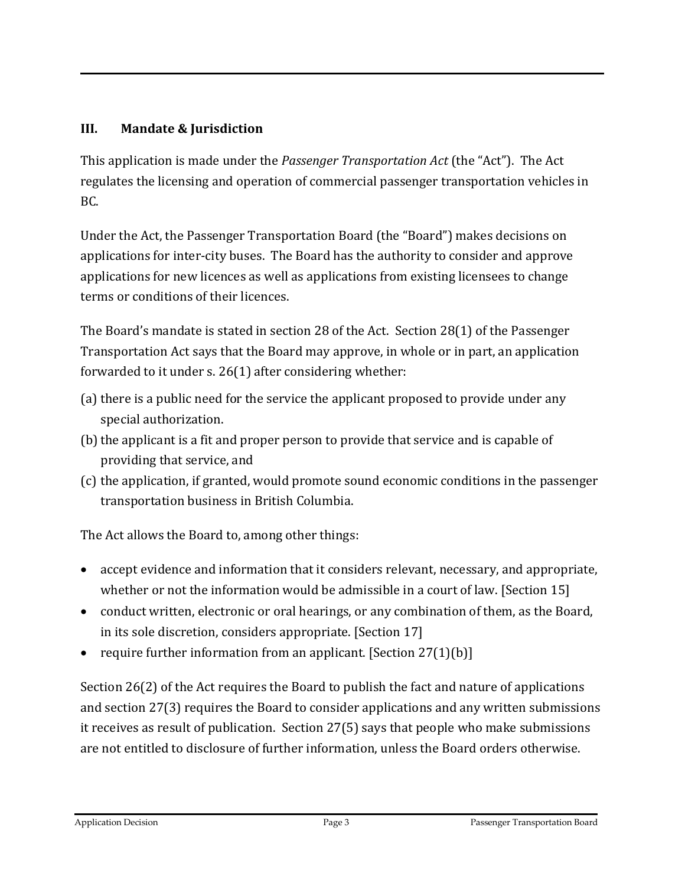## **III. Mandate & Jurisdiction**

This application is made under the *Passenger Transportation Act* (the "Act"). The Act regulates the licensing and operation of commercial passenger transportation vehicles in BC.

Under the Act, the Passenger Transportation Board (the "Board") makes decisions on applications for inter-city buses. The Board has the authority to consider and approve applications for new licences as well as applications from existing licensees to change terms or conditions of their licences.

The Board's mandate is stated in section 28 of the Act. Section 28(1) of the Passenger Transportation Act says that the Board may approve, in whole or in part, an application forwarded to it under s. 26(1) after considering whether:

- (a) there is a public need for the service the applicant proposed to provide under any special authorization.
- (b) the applicant is a fit and proper person to provide that service and is capable of providing that service, and
- (c) the application, if granted, would promote sound economic conditions in the passenger transportation business in British Columbia.

The Act allows the Board to, among other things:

- accept evidence and information that it considers relevant, necessary, and appropriate, whether or not the information would be admissible in a court of law. [Section 15]
- conduct written, electronic or oral hearings, or any combination of them, as the Board, in its sole discretion, considers appropriate. [Section 17]
- require further information from an applicant. [Section 27(1)(b)]

Section 26(2) of the Act requires the Board to publish the fact and nature of applications and section 27(3) requires the Board to consider applications and any written submissions it receives as result of publication. Section 27(5) says that people who make submissions are not entitled to disclosure of further information, unless the Board orders otherwise.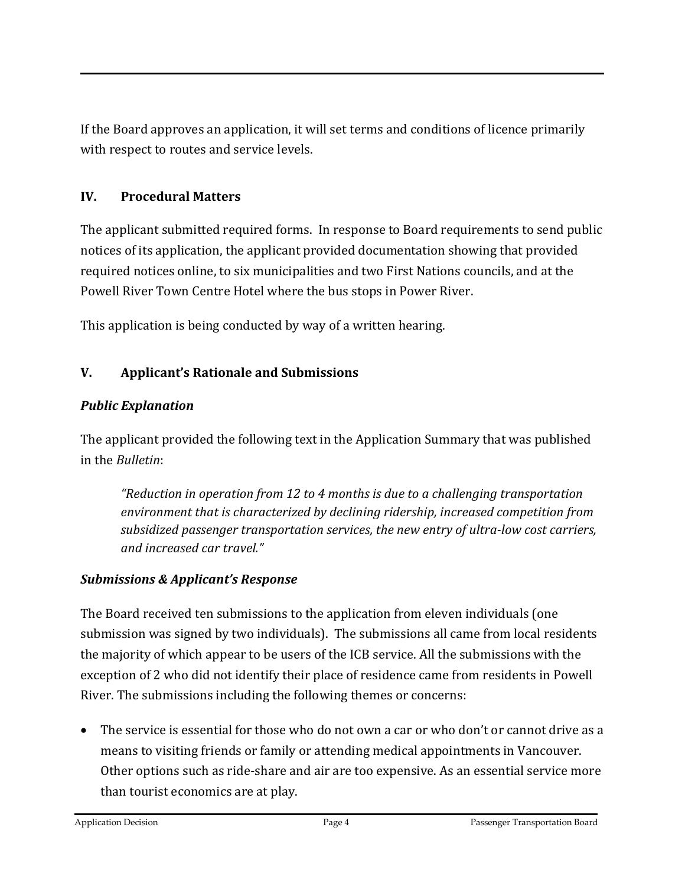If the Board approves an application, it will set terms and conditions of licence primarily with respect to routes and service levels.

## **IV. Procedural Matters**

The applicant submitted required forms. In response to Board requirements to send public notices of its application, the applicant provided documentation showing that provided required notices online, to six municipalities and two First Nations councils, and at the Powell River Town Centre Hotel where the bus stops in Power River.

This application is being conducted by way of a written hearing.

# **V. Applicant's Rationale and Submissions**

# *Public Explanation*

The applicant provided the following text in the Application Summary that was published in the *Bulletin*:

*"Reduction in operation from 12 to 4 months is due to a challenging transportation environment that is characterized by declining ridership, increased competition from subsidized passenger transportation services, the new entry of ultra-low cost carriers, and increased car travel."*

# *Submissions & Applicant's Response*

The Board received ten submissions to the application from eleven individuals (one submission was signed by two individuals). The submissions all came from local residents the majority of which appear to be users of the ICB service. All the submissions with the exception of 2 who did not identify their place of residence came from residents in Powell River. The submissions including the following themes or concerns:

• The service is essential for those who do not own a car or who don't or cannot drive as a means to visiting friends or family or attending medical appointments in Vancouver. Other options such as ride-share and air are too expensive. As an essential service more than tourist economics are at play.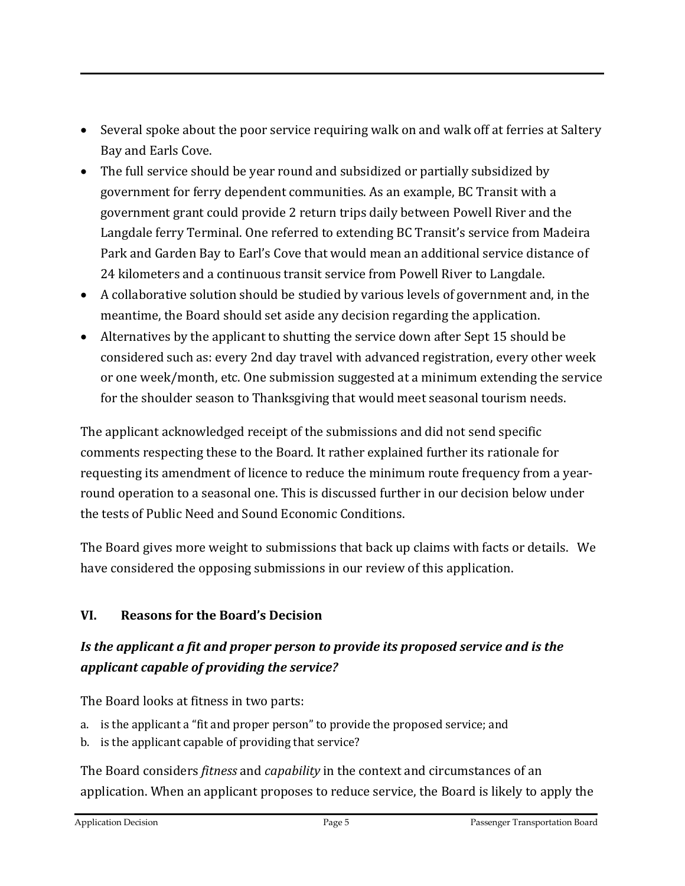- Several spoke about the poor service requiring walk on and walk off at ferries at Saltery Bay and Earls Cove.
- The full service should be year round and subsidized or partially subsidized by government for ferry dependent communities. As an example, BC Transit with a government grant could provide 2 return trips daily between Powell River and the Langdale ferry Terminal. One referred to extending BC Transit's service from Madeira Park and Garden Bay to Earl's Cove that would mean an additional service distance of 24 kilometers and a continuous transit service from Powell River to Langdale.
- A collaborative solution should be studied by various levels of government and, in the meantime, the Board should set aside any decision regarding the application.
- Alternatives by the applicant to shutting the service down after Sept 15 should be considered such as: every 2nd day travel with advanced registration, every other week or one week/month, etc. One submission suggested at a minimum extending the service for the shoulder season to Thanksgiving that would meet seasonal tourism needs.

The applicant acknowledged receipt of the submissions and did not send specific comments respecting these to the Board. It rather explained further its rationale for requesting its amendment of licence to reduce the minimum route frequency from a yearround operation to a seasonal one. This is discussed further in our decision below under the tests of Public Need and Sound Economic Conditions.

The Board gives more weight to submissions that back up claims with facts or details. We have considered the opposing submissions in our review of this application.

## **VI. Reasons for the Board's Decision**

# *Is the applicant a fit and proper person to provide its proposed service and is the applicant capable of providing the service?*

The Board looks at fitness in two parts:

- a. is the applicant a "fit and proper person" to provide the proposed service; and
- b. is the applicant capable of providing that service?

The Board considers *fitness* and *capability* in the context and circumstances of an application. When an applicant proposes to reduce service, the Board is likely to apply the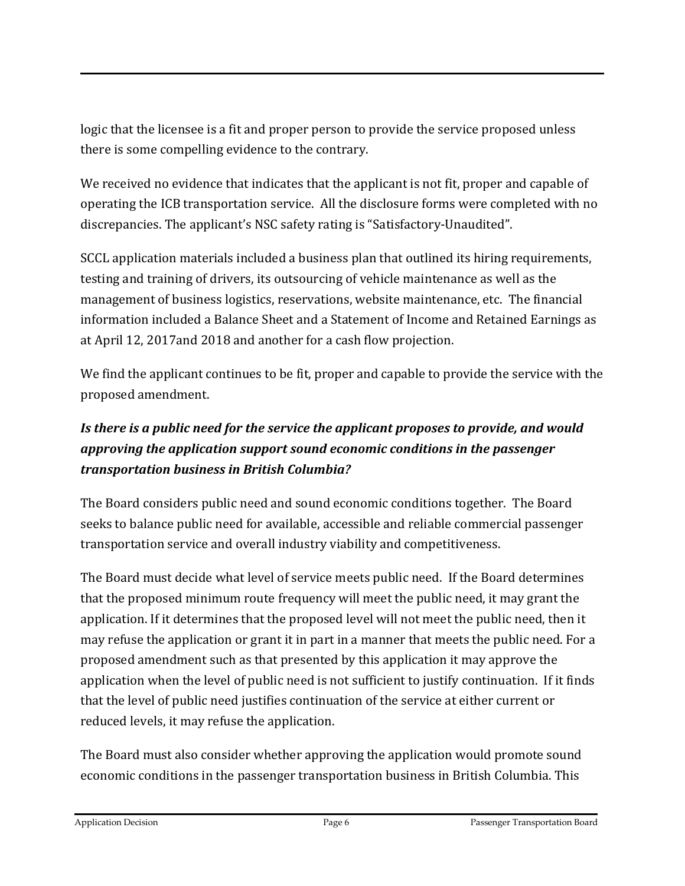logic that the licensee is a fit and proper person to provide the service proposed unless there is some compelling evidence to the contrary.

We received no evidence that indicates that the applicant is not fit, proper and capable of operating the ICB transportation service. All the disclosure forms were completed with no discrepancies. The applicant's NSC safety rating is "Satisfactory-Unaudited".

SCCL application materials included a business plan that outlined its hiring requirements, testing and training of drivers, its outsourcing of vehicle maintenance as well as the management of business logistics, reservations, website maintenance, etc. The financial information included a Balance Sheet and a Statement of Income and Retained Earnings as at April 12, 2017and 2018 and another for a cash flow projection.

We find the applicant continues to be fit, proper and capable to provide the service with the proposed amendment.

# *Is there is a public need for the service the applicant proposes to provide, and would approving the application support sound economic conditions in the passenger transportation business in British Columbia?*

The Board considers public need and sound economic conditions together. The Board seeks to balance public need for available, accessible and reliable commercial passenger transportation service and overall industry viability and competitiveness.

The Board must decide what level of service meets public need. If the Board determines that the proposed minimum route frequency will meet the public need, it may grant the application. If it determines that the proposed level will not meet the public need, then it may refuse the application or grant it in part in a manner that meets the public need. For a proposed amendment such as that presented by this application it may approve the application when the level of public need is not sufficient to justify continuation. If it finds that the level of public need justifies continuation of the service at either current or reduced levels, it may refuse the application.

The Board must also consider whether approving the application would promote sound economic conditions in the passenger transportation business in British Columbia. This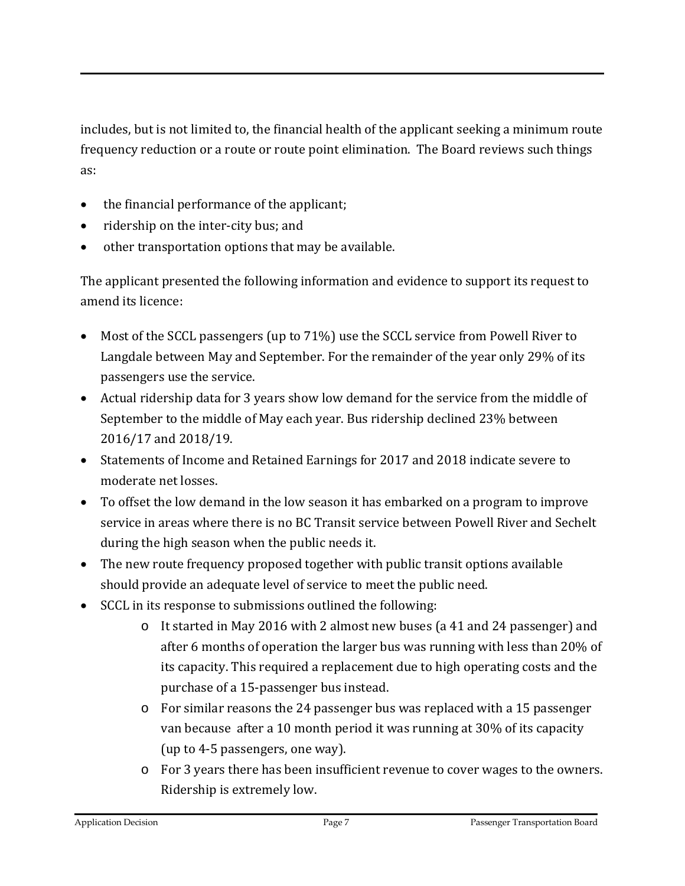includes, but is not limited to, the financial health of the applicant seeking a minimum route frequency reduction or a route or route point elimination. The Board reviews such things as:

- the financial performance of the applicant;
- ridership on the inter-city bus; and
- other transportation options that may be available.

The applicant presented the following information and evidence to support its request to amend its licence:

- Most of the SCCL passengers (up to 71%) use the SCCL service from Powell River to Langdale between May and September. For the remainder of the year only 29% of its passengers use the service.
- Actual ridership data for 3 years show low demand for the service from the middle of September to the middle of May each year. Bus ridership declined 23% between 2016/17 and 2018/19.
- Statements of Income and Retained Earnings for 2017 and 2018 indicate severe to moderate net losses.
- To offset the low demand in the low season it has embarked on a program to improve service in areas where there is no BC Transit service between Powell River and Sechelt during the high season when the public needs it.
- The new route frequency proposed together with public transit options available should provide an adequate level of service to meet the public need.
- SCCL in its response to submissions outlined the following:
	- o It started in May 2016 with 2 almost new buses (a 41 and 24 passenger) and after 6 months of operation the larger bus was running with less than 20% of its capacity. This required a replacement due to high operating costs and the purchase of a 15-passenger bus instead.
	- o For similar reasons the 24 passenger bus was replaced with a 15 passenger van because after a 10 month period it was running at 30% of its capacity (up to 4-5 passengers, one way).
	- o For 3 years there has been insufficient revenue to cover wages to the owners. Ridership is extremely low.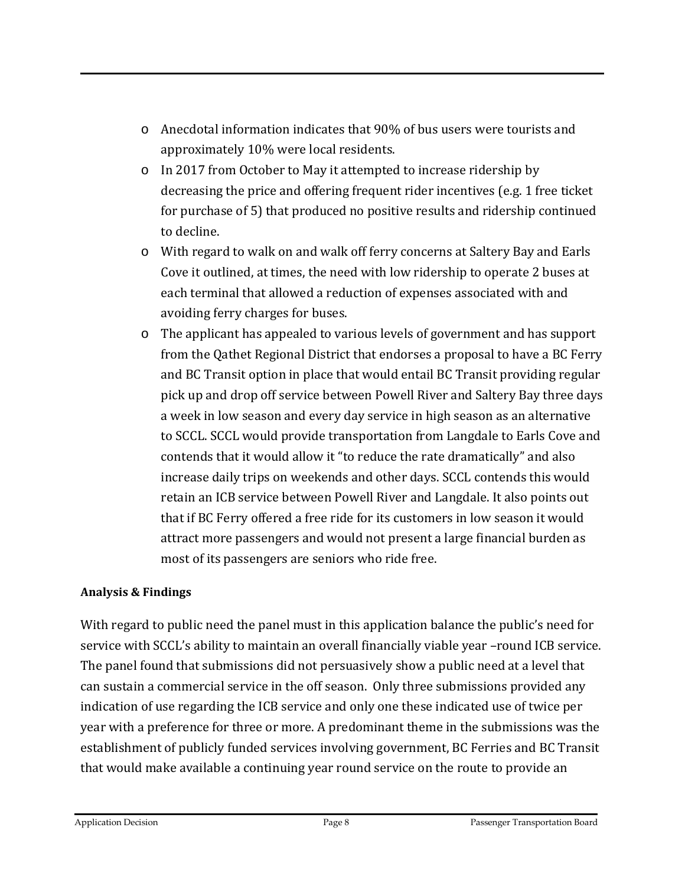- o Anecdotal information indicates that 90% of bus users were tourists and approximately 10% were local residents.
- o In 2017 from October to May it attempted to increase ridership by decreasing the price and offering frequent rider incentives (e.g. 1 free ticket for purchase of 5) that produced no positive results and ridership continued to decline.
- o With regard to walk on and walk off ferry concerns at Saltery Bay and Earls Cove it outlined, at times, the need with low ridership to operate 2 buses at each terminal that allowed a reduction of expenses associated with and avoiding ferry charges for buses.
- o The applicant has appealed to various levels of government and has support from the Qathet Regional District that endorses a proposal to have a BC Ferry and BC Transit option in place that would entail BC Transit providing regular pick up and drop off service between Powell River and Saltery Bay three days a week in low season and every day service in high season as an alternative to SCCL. SCCL would provide transportation from Langdale to Earls Cove and contends that it would allow it "to reduce the rate dramatically" and also increase daily trips on weekends and other days. SCCL contends this would retain an ICB service between Powell River and Langdale. It also points out that if BC Ferry offered a free ride for its customers in low season it would attract more passengers and would not present a large financial burden as most of its passengers are seniors who ride free.

#### **Analysis & Findings**

With regard to public need the panel must in this application balance the public's need for service with SCCL's ability to maintain an overall financially viable year –round ICB service. The panel found that submissions did not persuasively show a public need at a level that can sustain a commercial service in the off season. Only three submissions provided any indication of use regarding the ICB service and only one these indicated use of twice per year with a preference for three or more. A predominant theme in the submissions was the establishment of publicly funded services involving government, BC Ferries and BC Transit that would make available a continuing year round service on the route to provide an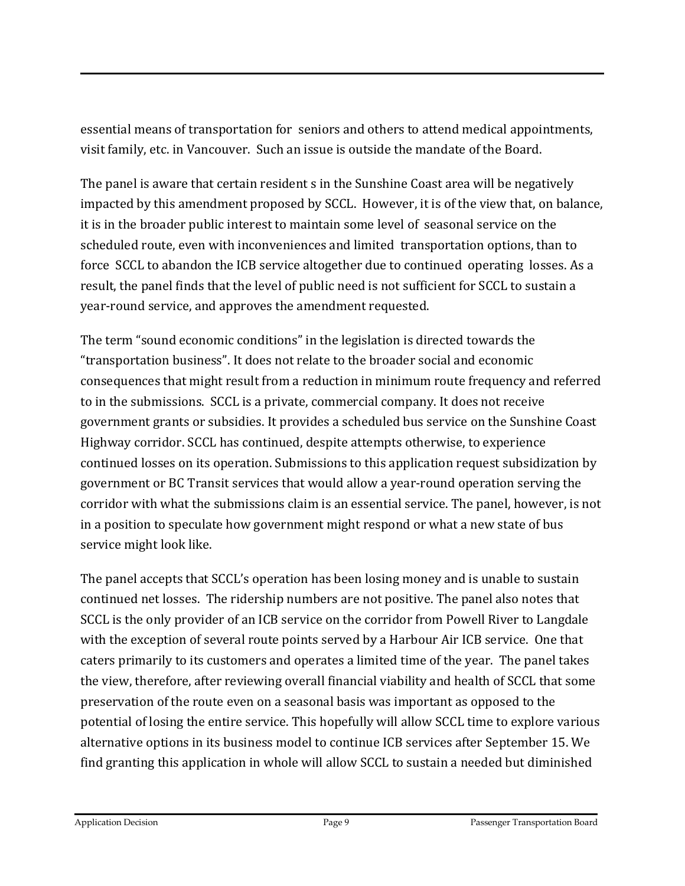essential means of transportation for seniors and others to attend medical appointments, visit family, etc. in Vancouver. Such an issue is outside the mandate of the Board.

The panel is aware that certain resident s in the Sunshine Coast area will be negatively impacted by this amendment proposed by SCCL. However, it is of the view that, on balance, it is in the broader public interest to maintain some level of seasonal service on the scheduled route, even with inconveniences and limited transportation options, than to force SCCL to abandon the ICB service altogether due to continued operating losses. As a result, the panel finds that the level of public need is not sufficient for SCCL to sustain a year-round service, and approves the amendment requested.

The term "sound economic conditions" in the legislation is directed towards the "transportation business". It does not relate to the broader social and economic consequences that might result from a reduction in minimum route frequency and referred to in the submissions. SCCL is a private, commercial company. It does not receive government grants or subsidies. It provides a scheduled bus service on the Sunshine Coast Highway corridor. SCCL has continued, despite attempts otherwise, to experience continued losses on its operation. Submissions to this application request subsidization by government or BC Transit services that would allow a year-round operation serving the corridor with what the submissions claim is an essential service. The panel, however, is not in a position to speculate how government might respond or what a new state of bus service might look like.

The panel accepts that SCCL's operation has been losing money and is unable to sustain continued net losses. The ridership numbers are not positive. The panel also notes that SCCL is the only provider of an ICB service on the corridor from Powell River to Langdale with the exception of several route points served by a Harbour Air ICB service. One that caters primarily to its customers and operates a limited time of the year. The panel takes the view, therefore, after reviewing overall financial viability and health of SCCL that some preservation of the route even on a seasonal basis was important as opposed to the potential of losing the entire service. This hopefully will allow SCCL time to explore various alternative options in its business model to continue ICB services after September 15. We find granting this application in whole will allow SCCL to sustain a needed but diminished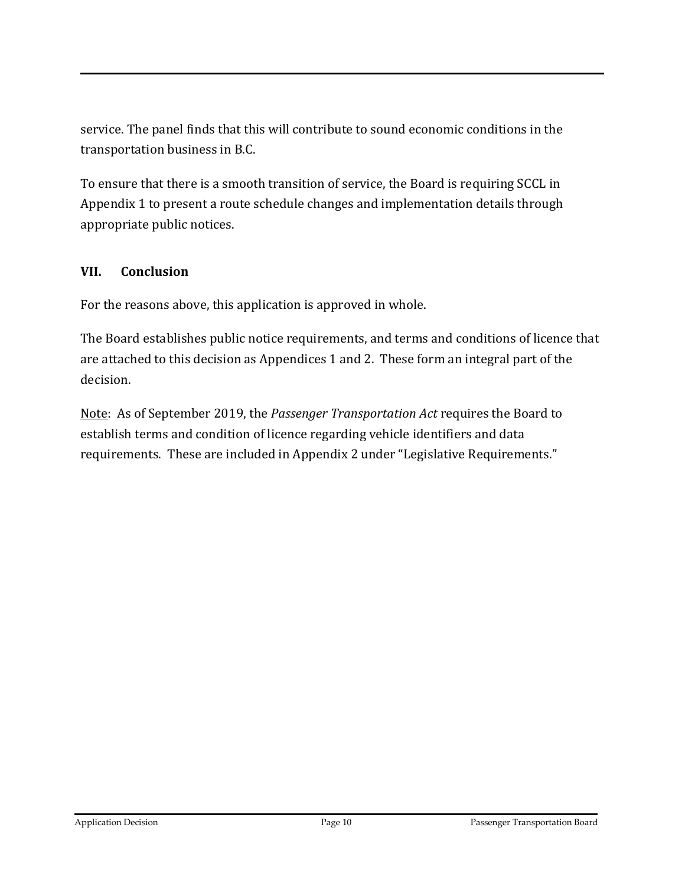service. The panel finds that this will contribute to sound economic conditions in the transportation business in B.C.

To ensure that there is a smooth transition of service, the Board is requiring SCCL in Appendix 1 to present a route schedule changes and implementation details through appropriate public notices.

#### **VII. Conclusion**

For the reasons above, this application is approved in whole.

The Board establishes public notice requirements, and terms and conditions of licence that are attached to this decision as Appendices 1 and 2. These form an integral part of the decision.

Note: As of September 2019, the *Passenger Transportation Act* requires the Board to establish terms and condition of licence regarding vehicle identifiers and data requirements. These are included in Appendix 2 under "Legislative Requirements."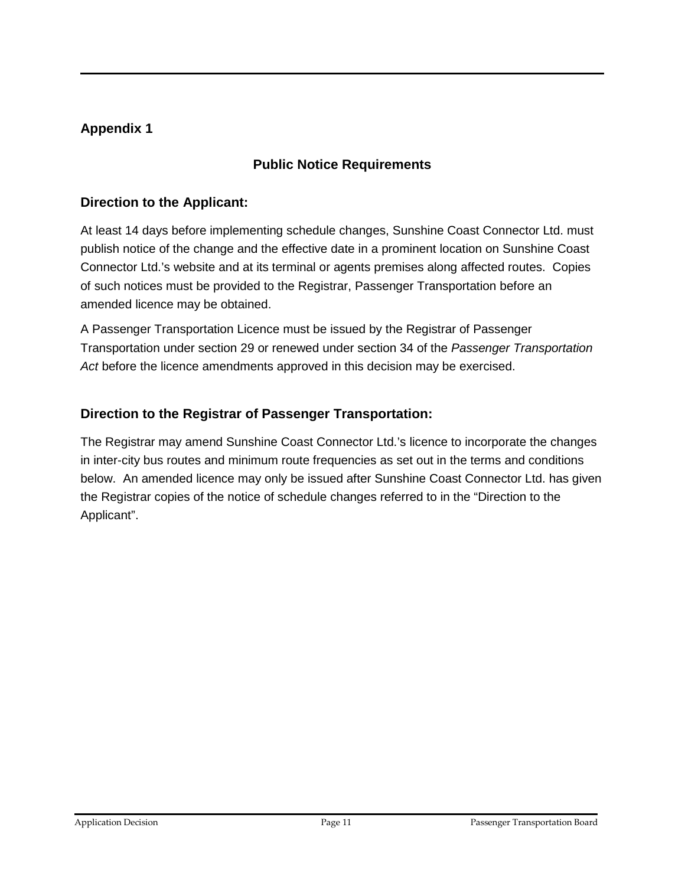## **Appendix 1**

#### **Public Notice Requirements**

#### **Direction to the Applicant:**

At least 14 days before implementing schedule changes, Sunshine Coast Connector Ltd. must publish notice of the change and the effective date in a prominent location on Sunshine Coast Connector Ltd.'s website and at its terminal or agents premises along affected routes. Copies of such notices must be provided to the Registrar, Passenger Transportation before an amended licence may be obtained.

A Passenger Transportation Licence must be issued by the Registrar of Passenger Transportation under section 29 or renewed under section 34 of the *Passenger Transportation Act* before the licence amendments approved in this decision may be exercised.

#### **Direction to the Registrar of Passenger Transportation:**

The Registrar may amend Sunshine Coast Connector Ltd.'s licence to incorporate the changes in inter-city bus routes and minimum route frequencies as set out in the terms and conditions below. An amended licence may only be issued after Sunshine Coast Connector Ltd. has given the Registrar copies of the notice of schedule changes referred to in the "Direction to the Applicant".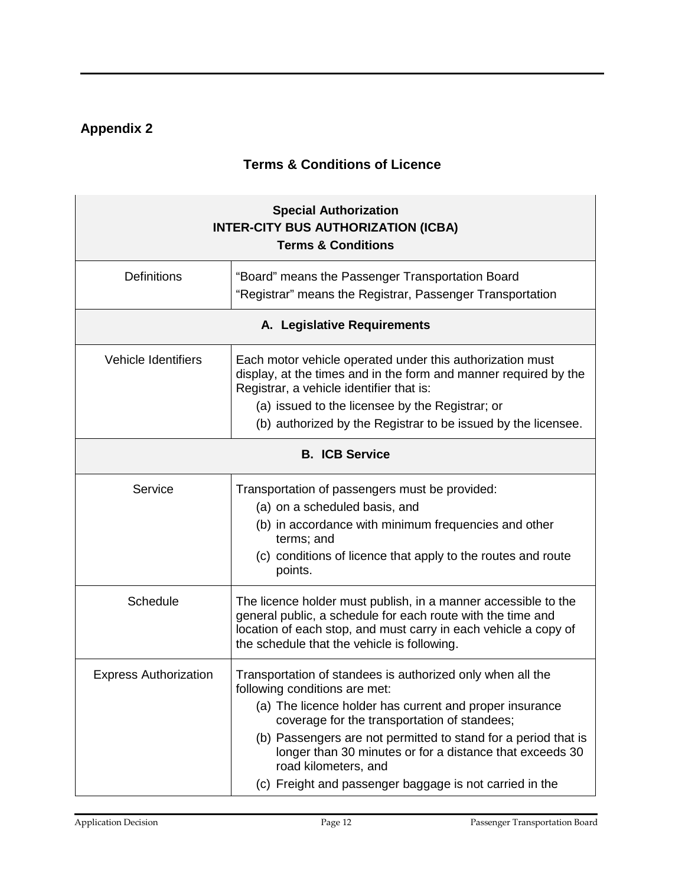# **Appendix 2**

## **Terms & Conditions of Licence**

| <b>Special Authorization</b><br><b>INTER-CITY BUS AUTHORIZATION (ICBA)</b><br><b>Terms &amp; Conditions</b> |                                                                                                                                                                                                                                                                                                                                                                                                                         |  |  |
|-------------------------------------------------------------------------------------------------------------|-------------------------------------------------------------------------------------------------------------------------------------------------------------------------------------------------------------------------------------------------------------------------------------------------------------------------------------------------------------------------------------------------------------------------|--|--|
| <b>Definitions</b>                                                                                          | "Board" means the Passenger Transportation Board<br>"Registrar" means the Registrar, Passenger Transportation                                                                                                                                                                                                                                                                                                           |  |  |
| A. Legislative Requirements                                                                                 |                                                                                                                                                                                                                                                                                                                                                                                                                         |  |  |
| <b>Vehicle Identifiers</b>                                                                                  | Each motor vehicle operated under this authorization must<br>display, at the times and in the form and manner required by the<br>Registrar, a vehicle identifier that is:<br>(a) issued to the licensee by the Registrar; or<br>(b) authorized by the Registrar to be issued by the licensee.                                                                                                                           |  |  |
| <b>B. ICB Service</b>                                                                                       |                                                                                                                                                                                                                                                                                                                                                                                                                         |  |  |
| Service                                                                                                     | Transportation of passengers must be provided:<br>(a) on a scheduled basis, and<br>(b) in accordance with minimum frequencies and other<br>terms; and<br>(c) conditions of licence that apply to the routes and route<br>points.                                                                                                                                                                                        |  |  |
| Schedule                                                                                                    | The licence holder must publish, in a manner accessible to the<br>general public, a schedule for each route with the time and<br>location of each stop, and must carry in each vehicle a copy of<br>the schedule that the vehicle is following.                                                                                                                                                                         |  |  |
| <b>Express Authorization</b>                                                                                | Transportation of standees is authorized only when all the<br>following conditions are met:<br>(a) The licence holder has current and proper insurance<br>coverage for the transportation of standees;<br>(b) Passengers are not permitted to stand for a period that is<br>longer than 30 minutes or for a distance that exceeds 30<br>road kilometers, and<br>(c) Freight and passenger baggage is not carried in the |  |  |